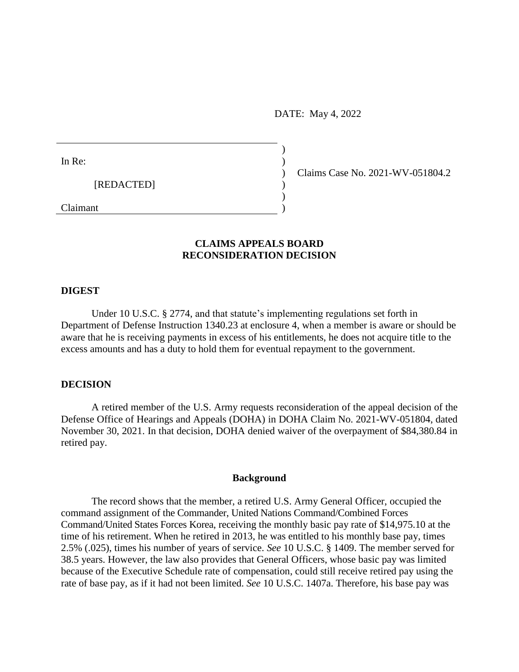DATE: May 4, 2022

 $)$ 

 $)$ 

In Re:  $\qquad \qquad$ )

[REDACTED] )

Claimant )

) Claims Case No. 2021-WV-051804.2

# **CLAIMS APPEALS BOARD RECONSIDERATION DECISION**

## **DIGEST**

Under 10 U.S.C. § 2774, and that statute's implementing regulations set forth in Department of Defense Instruction 1340.23 at enclosure 4, when a member is aware or should be aware that he is receiving payments in excess of his entitlements, he does not acquire title to the excess amounts and has a duty to hold them for eventual repayment to the government.

### **DECISION**

A retired member of the U.S. Army requests reconsideration of the appeal decision of the Defense Office of Hearings and Appeals (DOHA) in DOHA Claim No. 2021-WV-051804, dated November 30, 2021. In that decision, DOHA denied waiver of the overpayment of [\\$84,380.84](https://84,380.84) in retired pay.

#### **Background**

The record shows that the member, a retired U.S. Army General Officer, occupied the command assignment of the Commander, United Nations Command/Combined Forces Command/United States Forces Korea, receiving the monthly basic pay rate of [\\$14,975.10](https://14,975.10) at the time of his retirement. When he retired in 2013, he was entitled to his monthly base pay, times 2.5% (.025), times his number of years of service. *See* 10 U.S.C. § 1409. The member served for 38.5 years. However, the law also provides that General Officers, whose basic pay was limited because of the Executive Schedule rate of compensation, could still receive retired pay using the rate of base pay, as if it had not been limited. *See* 10 U.S.C. 1407a. Therefore, his base pay was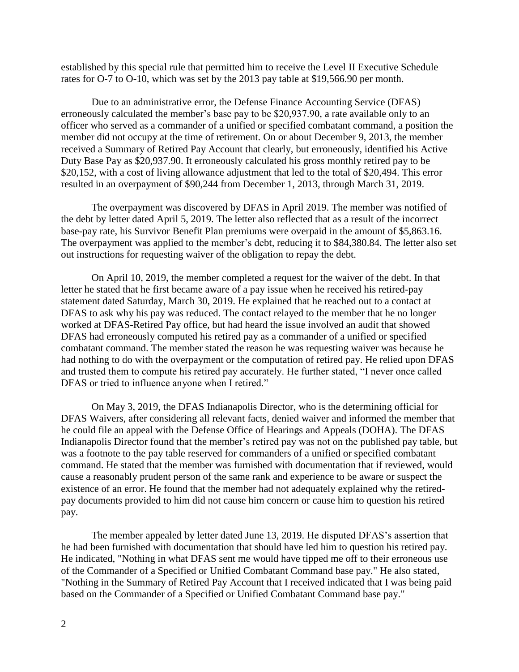rates for O-7 to O-10, which was set by the 2013 pay table at \$[19,566.90](https://19,566.90) per month.

Due to an administrative error, the Defense Finance Accounting Service (DFAS) erroneously calculated the member's base pay to be [\\$20,937.90](https://20,937.90), a rate available only to an officer who served as a commander of a unified or specified combatant command, a position the member did not occupy at the time of retirement. On or about December 9, 2013, the member received a Summary of Retired Pay Account that clearly, but erroneously, identified his Active Duty Base Pay as [\\$20,937.90](https://20,937.90). It erroneously calculated his gross monthly retired pay to be \$20,152, with a cost of living allowance adjustment that led to the total of \$20,494. This error resulted in an overpayment of \$90,244 from December 1, 2013, through March 31, 2019.

The overpayment was discovered by DFAS in April 2019. The member was notified of the debt by letter dated April 5, 2019. The letter also reflected that as a result of the incorrect base-pay rate, his Survivor Benefit Plan premiums were overpaid in the amount of \$[5,863.16.](https://5,863.16) The overpayment was applied to the member's debt, reducing it to \$[84,380.84.](https://84,380.84) The letter also set out instructions for requesting waiver of the obligation to repay the debt.

 DFAS or tried to influence anyone when I retired." established by this special rule that permitted him to receive the Level II Executive Schedule<br>rates for 0-7 to 0-10, which was set by the 2013 pay table at \$19,566.90 per month.<br>Due to an administrative error, the Defense On April 10, 2019, the member completed a request for the waiver of the debt. In that letter he stated that he first became aware of a pay issue when he received his retired-pay statement dated Saturday, March 30, 2019. He explained that he reached out to a contact at DFAS to ask why his pay was reduced. The contact relayed to the member that he no longer worked at DFAS-Retired Pay office, but had heard the issue involved an audit that showed DFAS had erroneously computed his retired pay as a commander of a unified or specified combatant command. The member stated the reason he was requesting waiver was because he had nothing to do with the overpayment or the computation of retired pay. He relied upon DFAS and trusted them to compute his retired pay accurately. He further stated, "I never once called

 On May 3, 2019, the DFAS Indianapolis Director, who is the determining official for he could file an appeal with the Defense Office of Hearings and Appeals (DOHA). The DFAS DFAS Waivers, after considering all relevant facts, denied waiver and informed the member that Indianapolis Director found that the member's retired pay was not on the published pay table, but was a footnote to the pay table reserved for commanders of a unified or specified combatant command. He stated that the member was furnished with documentation that if reviewed, would cause a reasonably prudent person of the same rank and experience to be aware or suspect the existence of an error. He found that the member had not adequately explained why the retiredpay documents provided to him did not cause him concern or cause him to question his retired pay.

The member appealed by letter dated June 13, 2019. He disputed DFAS's assertion that he had been furnished with documentation that should have led him to question his retired pay. He indicated, "Nothing in what DFAS sent me would have tipped me off to their erroneous use of the Commander of a Specified or Unified Combatant Command base pay." He also stated, "Nothing in the Summary of Retired Pay Account that I received indicated that I was being paid based on the Commander of a Specified or Unified Combatant Command base pay."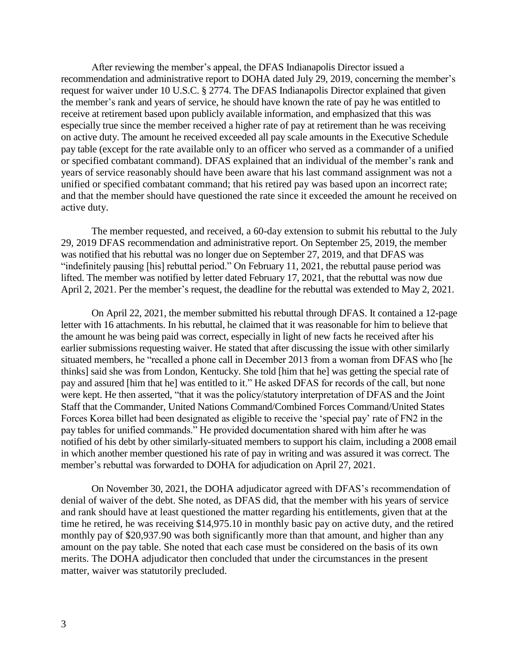recommendation and administrative report to DOHA dated July 29, 2019, concerning the member's request for waiver under 10 U.S.C. § 2774. The DFAS Indianapolis Director explained that given the member's rank and years of service, he should have known the rate of pay he was entitled to receive at retirement based upon publicly available information, and emphasized that this was especially true since the member received a higher rate of pay at retirement than he was receiving on active duty. The amount he received exceeded all pay scale amounts in the Executive Schedule pay table (except for the rate available only to an officer who served as a commander of a unified or specified combatant command). DFAS explained that an individual of the member's rank and years of service reasonably should have been aware that his last command assignment was not a unified or specified combatant command; that his retired pay was based upon an incorrect rate; and that the member should have questioned the rate since it exceeded the amount he received on active duty.

 29, 2019 DFAS recommendation and administrative report. On September 25, 2019, the member was notified that his rebuttal was no longer due on September 27, 2019, and that DFAS was "indefinitely pausing [his] rebuttal period." On February 11, 2021, the rebuttal pause period was lifted. The member was notified by letter dated February 17, 2021, that the rebuttal was now due April 2, 2021. Per the member's request, the deadline for the rebuttal was extended to May 2, 2021. The member requested, and received, a 60-day extension to submit his rebuttal to the July

 On April 22, 2021, the member submitted his rebuttal through DFAS. It contained a 12-page letter with 16 attachments. In his rebuttal, he claimed that it was reasonable for him to believe that the amount he was being paid was correct, especially in light of new facts he received after his earlier submissions requesting waiver. He stated that after discussing the issue with other similarly situated members, he "recalled a phone call in December 2013 from a woman from DFAS who [he thinks] said she was from London, Kentucky. She told [him that he] was getting the special rate of pay and assured [him that he] was entitled to it." He asked DFAS for records of the call, but none were kept. He then asserted, "that it was the policy/statutory interpretation of DFAS and the Joint Staff that the Commander, United Nations Command/Combined Forces Command/United States Forces Korea billet had been designated as eligible to receive the 'special pay' rate of FN2 in the pay tables for unified commands." He provided documentation shared with him after he was notified of his debt by other similarly-situated members to support his claim, including a 2008 email in which another member questioned his rate of pay in writing and was assured it was correct. The member's rebuttal was forwarded to DOHA for adjudication on April 27, 2021. pausing [his] rebuttal period." On Fampler was notified by letter dated F<br>1. Per the member's request, the dead<br>April 22, 2021, the member submitted<br>5 attachments. In his rebuttal, he clain<br>ne was being paid was correct, e After reviewing the member's appeal, the DFAS Indianapolis Director issued and parameter is rank and years for waiver under 10 U.S.C. § 2774. The DFAS Indianapolis Director explained member's rank and years of service, he

On November 30, 2021, the DOHA adjudicator agreed with DFAS's recommendation of denial of waiver of the debt. She noted, as DFAS did, that the member with his years of service and rank should have at least questioned the matter regarding his entitlements, given that at the time he retired, he was receiving [\\$14,975.10](https://14,975.10) in monthly basic pay on active duty, and the retired monthly pay of [\\$20,937.90](https://20,937.90) was both significantly more than that amount, and higher than any amount on the pay table. She noted that each case must be considered on the basis of its own merits. The DOHA adjudicator then concluded that under the circumstances in the present matter, waiver was statutorily precluded.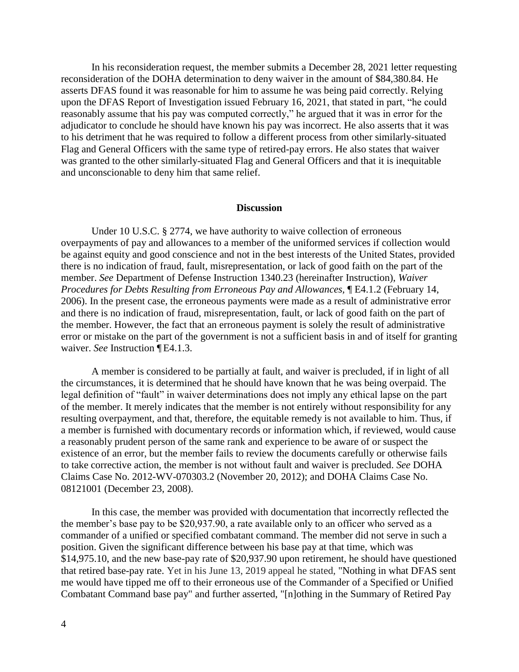In his reconsideration request, the member submits a December 28, 2021 letter requesting reconsideration of the DOHA determination to deny waiver in the amount of [\\$84,380.84](https://84,380.84). He asserts DFAS found it was reasonable for him to assume he was being paid correctly. Relying upon the DFAS Report of Investigation issued February 16, 2021, that stated in part, "he could reasonably assume that his pay was computed correctly," he argued that it was in error for the adjudicator to conclude he should have known his pay was incorrect. He also asserts that it was to his detriment that he was required to follow a different process from other similarly-situated Flag and General Officers with the same type of retired-pay errors. He also states that waiver was granted to the other similarly-situated Flag and General Officers and that it is inequitable and unconscionable to deny him that same relief.

#### **Discussion**

waiver. See Instruction [E4.1.3.] Under 10 U.S.C. § 2774, we have authority to waive collection of erroneous overpayments of pay and allowances to a member of the uniformed services if collection would be against equity and good conscience and not in the best interests of the United States, provided there is no indication of fraud, fault, misrepresentation, or lack of good faith on the part of the member. *See* Department of Defense Instruction 1340.23 (hereinafter Instruction), *Waiver Procedures for Debts Resulting from Erroneous Pay and Allowances,* ¶ E4.1.2 (February 14, 2006). In the present case, the erroneous payments were made as a result of administrative error and there is no indication of fraud, misrepresentation, fault, or lack of good faith on the part of the member. However, the fact that an erroneous payment is solely the result of administrative error or mistake on the part of the government is not a sufficient basis in and of itself for granting

A member is considered to be partially at fault, and waiver is precluded, if in light of all the circumstances, it is determined that he should have known that he was being overpaid. The legal definition of "fault" in waiver determinations does not imply any ethical lapse on the part of the member. It merely indicates that the member is not entirely without responsibility for any resulting overpayment, and that, therefore, the equitable remedy is not available to him. Thus, if a member is furnished with documentary records or information which, if reviewed, would cause a reasonably prudent person of the same rank and experience to be aware of or suspect the existence of an error, but the member fails to review the documents carefully or otherwise fails to take corrective action, the member is not without fault and waiver is precluded. *See* DOHA Claims Case No. 2012-WV-070303.2 (November 20, 2012); and DOHA Claims Case No. 08121001 (December 23, 2008).

In this case, the member was provided with documentation that incorrectly reflected the the member's base pay to be \$[20,937.90,](https://20,937.90) a rate available only to an officer who served as a commander of a unified or specified combatant command. The member did not serve in such a position. Given the significant difference between his base pay at that time, which was [\\$14,975.10](https://14,975.10), and the new base-pay rate of \$[20,937.90](https://20,937.90) upon retirement, he should have questioned that retired base-pay rate. Yet in his June 13, 2019 appeal he stated, "Nothing in what DFAS sent me would have tipped me off to their erroneous use of the Commander of a Specified or Unified Combatant Command base pay" and further asserted, "[n]othing in the Summary of Retired Pay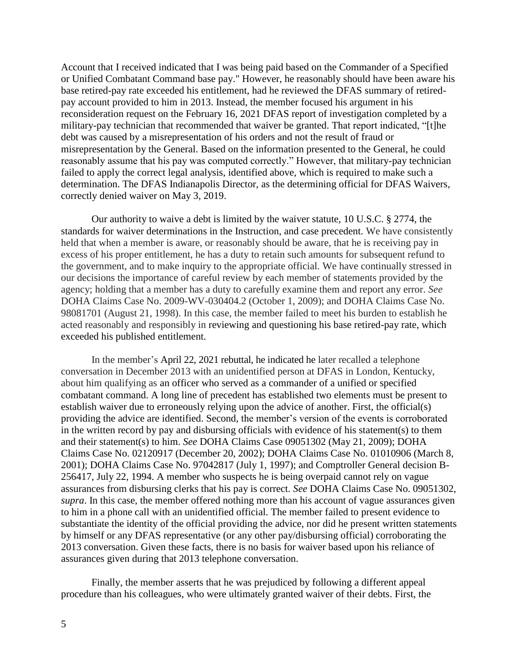Account that I received indicated that I was being paid based on the Commander of a Specified or Unified Combatant Command base pay." However, he reasonably should have been aware his base retired-pay rate exceeded his entitlement, had he reviewed the DFAS summary of retiredpay account provided to him in 2013. Instead, the member focused his argument in his reconsideration request on the February 16, 2021 DFAS report of investigation completed by a military-pay technician that recommended that waiver be granted. That report indicated, "[t]he debt was caused by a misrepresentation of his orders and not the result of fraud or misrepresentation by the General. Based on the information presented to the General, he could reasonably assume that his pay was computed correctly." However, that military-pay technician failed to apply the correct legal analysis, identified above, which is required to make such a determination. The DFAS Indianapolis Director, as the determining official for DFAS Waivers, correctly denied waiver on May 3, 2019.

Our authority to waive a debt is limited by the waiver statute, 10 U.S.C. § 2774, the standards for waiver determinations in the Instruction, and case precedent. We have consistently held that when a member is aware, or reasonably should be aware, that he is receiving pay in excess of his proper entitlement, he has a duty to retain such amounts for subsequent refund to the government, and to make inquiry to the appropriate official. We have continually stressed in our decisions the importance of careful review by each member of statements provided by the agency; holding that a member has a duty to carefully examine them and report any error. *See*  DOHA Claims Case No. 2009-WV-030404.2 (October 1, 2009); and DOHA Claims Case No. 98081701 (August 21, 1998). In this case, the member failed to meet his burden to establish he acted reasonably and responsibly in reviewing and questioning his base retired-pay rate, which exceeded his published entitlement.

In the member's April 22, 2021 rebuttal, he indicated he later recalled a telephone conversation in December 2013 with an unidentified person at DFAS in London, Kentucky, about him qualifying as an officer who served as a commander of a unified or specified combatant command. A long line of precedent has established two elements must be present to establish waiver due to erroneously relying upon the advice of another. First, the official(s) providing the advice are identified. Second, the member's version of the events is corroborated in the written record by pay and disbursing officials with evidence of his statement(s) to them and their statement(s) to him. *See* DOHA Claims Case 09051302 (May 21, 2009); DOHA Claims Case No. 02120917 (December 20, 2002); DOHA Claims Case No. 01010906 (March 8, 2001); DOHA Claims Case No. 97042817 (July 1, 1997); and Comptroller General decision B-256417, July 22, 1994. A member who suspects he is being overpaid cannot rely on vague assurances from disbursing clerks that his pay is correct. *See* DOHA Claims Case No. 09051302, *supra*. In this case, the member offered nothing more than his account of vague assurances given to him in a phone call with an unidentified official. The member failed to present evidence to substantiate the identity of the official providing the advice, nor did he present written statements by himself or any DFAS representative (or any other pay/disbursing official) corroborating the 2013 conversation. Given these facts, there is no basis for waiver based upon his reliance of assurances given during that 2013 telephone conversation.

Finally, the member asserts that he was prejudiced by following a different appeal procedure than his colleagues, who were ultimately granted waiver of their debts. First, the